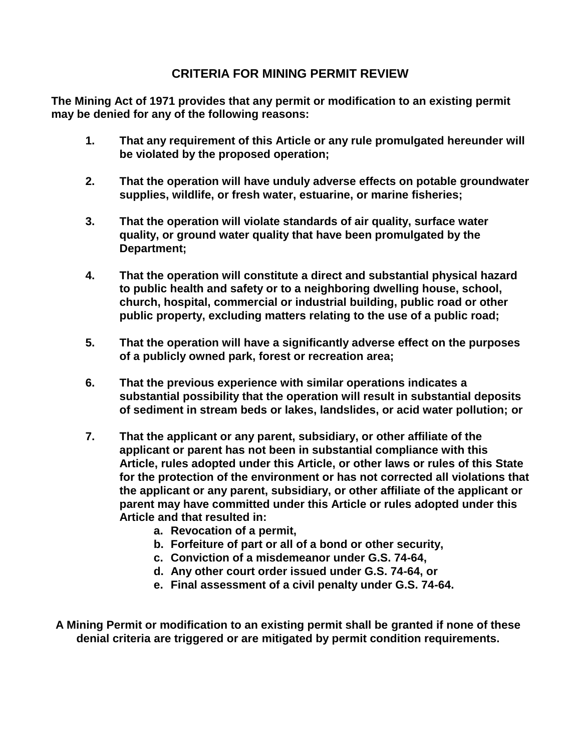## **CRITERIA FOR MINING PERMIT REVIEW**

**The Mining Act of 1971 provides that any permit or modification to an existing permit may be denied for any of the following reasons:**

- **1. That any requirement of this Article or any rule promulgated hereunder will be violated by the proposed operation;**
- **2. That the operation will have unduly adverse effects on potable groundwater supplies, wildlife, or fresh water, estuarine, or marine fisheries;**
- **3. That the operation will violate standards of air quality, surface water quality, or ground water quality that have been promulgated by the Department;**
- **4. That the operation will constitute a direct and substantial physical hazard to public health and safety or to a neighboring dwelling house, school, church, hospital, commercial or industrial building, public road or other public property, excluding matters relating to the use of a public road;**
- **5. That the operation will have a significantly adverse effect on the purposes of a publicly owned park, forest or recreation area;**
- **6. That the previous experience with similar operations indicates a substantial possibility that the operation will result in substantial deposits of sediment in stream beds or lakes, landslides, or acid water pollution; or**
- **7. That the applicant or any parent, subsidiary, or other affiliate of the applicant or parent has not been in substantial compliance with this Article, rules adopted under this Article, or other laws or rules of this State for the protection of the environment or has not corrected all violations that the applicant or any parent, subsidiary, or other affiliate of the applicant or parent may have committed under this Article or rules adopted under this Article and that resulted in:**
	- **a. Revocation of a permit,**
	- **b. Forfeiture of part or all of a bond or other security,**
	- **c. Conviction of a misdemeanor under G.S. 74-64,**
	- **d. Any other court order issued under G.S. 74-64, or**
	- **e. Final assessment of a civil penalty under G.S. 74-64.**
- **A Mining Permit or modification to an existing permit shall be granted if none of these denial criteria are triggered or are mitigated by permit condition requirements.**